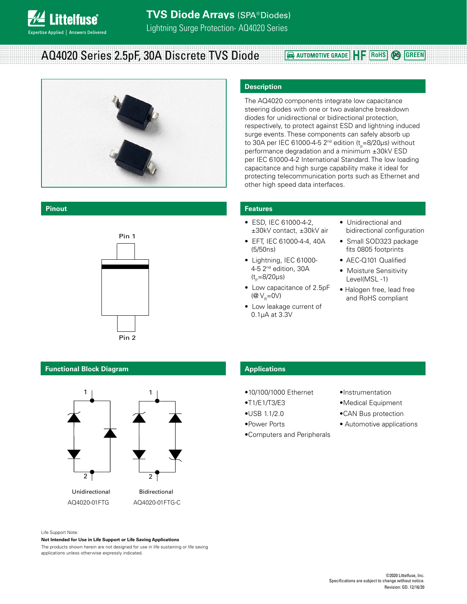

# **AQ4020 Series 2.5pF, 30A Discrete TVS Diode <b>Requality CONCICE PROPERTY Pa CREEN**



### **Pinout**



# **Description**

The AQ4020 components integrate low capacitance steering diodes with one or two avalanche breakdown diodes for unidirectional or bidirectional protection, respectively, to protect against ESD and lightning induced surge events. These components can safely absorb up to 30A per IEC 61000-4-5 2<sup>nd</sup> edition (t<sub>p</sub>=8/20μs) without performance degradation and a minimum ±30kV ESD per IEC 61000-4-2 International Standard. The low loading capacitance and high surge capability make it ideal for protecting telecommunication ports such as Ethernet and other high speed data interfaces.

## **Features**

- ESD, IEC 61000-4-2, ±30kV contact, ±30kV air
- EFT, IEC 61000-4-4, 40A (5/50ns)
- Lightning, IEC 61000- 4-5 2nd edition, 30A  $(t_{p}=8/20 \mu s)$
- Low capacitance of 2.5pF (@  $V_{\rm B}$ =0V)
- Low leakage current of 0.1μA at 3.3V
- Unidirectional and bidirectional configuration
- Small SOD323 package fits 0805 footprints
- AEC-Q101 Qualified
- Moisture Sensitivity Level(MSL -1)
- Halogen free, lead free and RoHS compliant

# **Functional Block Diagram**



# **Applications**

- •10/100/1000 Ethernet
- •T1/E1/T3/E3
- •USB 1.1/2.0
- •Power Ports
- •Computers and Peripherals
- •Instrumentation
- •Medical Equipment
- •CAN Bus protection
- Automotive applications

Life Support Note:

#### **Not Intended for Use in Life Support or Life Saving Applications**

The products shown herein are not designed for use in life sustaining or life saving applications unless otherwise expressly indicated.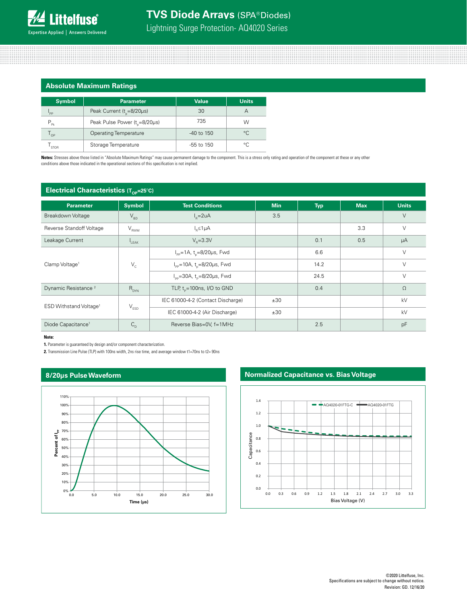# **Absolute Maximum Ratings**

| <b>Symbol</b>              | <b>Parameter</b>                          | Value        | <b>Units</b> |
|----------------------------|-------------------------------------------|--------------|--------------|
| 'PP                        | Peak Current ( $t_{\text{e}}$ =8/20µs)    | 30           |              |
| $P_{p_k}$                  | Peak Pulse Power (t <sub>r</sub> =8/20µs) | 735          | w            |
| $\mathsf{I}_{\mathsf{OP}}$ | <b>Operating Temperature</b>              | $-40$ to 150 | °C           |
| <b>STOR</b>                | Storage Temperature                       | -55 to 150   | °C           |

**Notes:** Stresses above those listed in "Absolute Maximum Ratings" may cause permanent damage to the component. This is a stress only rating and operation of the component at these or any other conditions above those indicated in the operational sections of this specification is not implied.

# **Electrical Characteristics (Top-25°C)**

|                                    | ∵ UP.                       |                                                   |            |            |            |              |
|------------------------------------|-----------------------------|---------------------------------------------------|------------|------------|------------|--------------|
| <b>Parameter</b>                   | <b>Symbol</b>               | <b>Test Conditions</b>                            | <b>Min</b> | <b>Typ</b> | <b>Max</b> | <b>Units</b> |
| Breakdown Voltage                  | $\rm V_{_{BD}}$             | $I_p = 2uA$                                       | 3.5        |            |            | $\vee$       |
| Reverse Standoff Voltage           | $V_{RWM}$                   | $I_n \leq 1 \mu A$                                |            |            | 3.3        | $\vee$       |
| Leakage Current                    | $L_{\text{EAK}}$            | $V_e = 3.3V$                                      |            | 0.1        | 0.5        | μA           |
|                                    | $\mathsf{V}_{\rm c}$        | $I_{pp} = 1A$ , t <sub>o</sub> =8/20µs, Fwd       |            | 6.6        |            | $\vee$       |
| Clamp Voltage <sup>1</sup>         |                             | $I_{\rm pp}$ =10A, t <sub>o</sub> =8/20µs, Fwd    |            | 14.2       |            | V            |
|                                    |                             | $I_{\text{pp}}$ =30A, t <sub>p</sub> =8/20µs, Fwd |            | 24.5       |            | $\vee$       |
| Dynamic Resistance <sup>2</sup>    | $R_{DYN}$                   | TLP, $t_{p}$ =100ns, I/O to GND                   |            | 0.4        |            | $\Omega$     |
| ESD Withstand Voltage <sup>1</sup> | $\mathsf{V}_{\texttt{ESD}}$ | IEC 61000-4-2 (Contact Discharge)                 | ±30        |            |            | kV           |
|                                    |                             | IEC 61000-4-2 (Air Discharge)                     | ±30        |            |            | kV           |
| Diode Capacitance <sup>1</sup>     | $C_{D}$                     | Reverse Bias=0V, f=1MHz                           |            | 2.5        |            | pF           |

#### **Note:**

**1.** Parameter is guaranteed by design and/or component characterization.

**2.** Transmission Line Pulse (TLP) with 100ns width, 2ns rise time, and average window t1=70ns to t2= 90ns

# **8/20μs Pulse Waveform**



# **Normalized Capacitance vs. Bias Voltage**

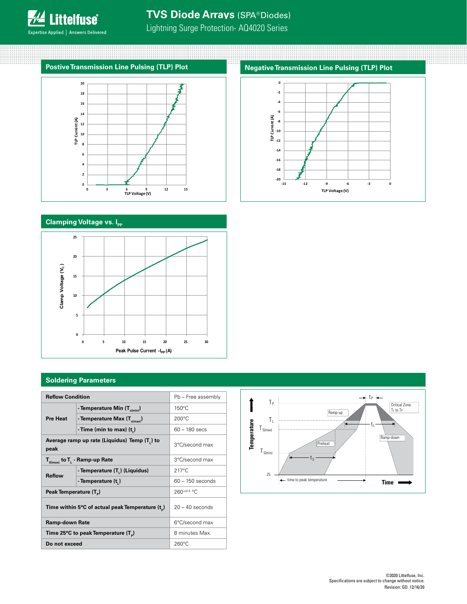

# **TVS Diode Arrays** (SPA® Diodes)

Lightning Surge Protection- AQ4020 Series

# **Postive Transmission Line Pulsing (TLP) Plot**



# **Clamping Voltage vs. Ipp**



# **Soldering Parameters**

| <b>Reflow Condition</b>                              |                                  | Pb - Free assembly |             |                       |                                         |
|------------------------------------------------------|----------------------------------|--------------------|-------------|-----------------------|-----------------------------------------|
|                                                      | - Temperature Min $(T_{s(min)})$ | $150^{\circ}$ C    |             | p                     | $rac{C_1}{T_1}$<br>Ramp-up              |
| <b>Pre Heat</b>                                      | - Temperature Max $(T_{s(max)})$ | $200^{\circ}$ C    |             |                       |                                         |
|                                                      | -Time (min to max) $(t_n)$       | $60 - 180$ secs    |             | $I_{S(max)}$          |                                         |
| Average ramp up rate (Liquidus) Temp (T,) to<br>peak |                                  | 3°C/second max     | Temperature | $\mathsf{I}_{S(min)}$ | Ramp-do<br>Preheat                      |
| $T_{S(max)}$ to $T_{L}$ - Ramp-up Rate               |                                  | 3°C/second max     |             |                       | ίs                                      |
| <b>Reflow</b>                                        | - Temperature (T.) (Liquidus)    | $217^{\circ}$ C    |             | 25                    |                                         |
|                                                      | - Temperature (t.)               | $60 - 150$ seconds |             |                       | time to peak temperature<br><b>Time</b> |
| Peak Temperature (T <sub>e</sub> )                   |                                  | $260^{+0/-5}$ °C   |             |                       |                                         |
| Time within 5°C of actual peak Temperature $(t_n)$   |                                  | $20 - 40$ seconds  |             |                       |                                         |
| <b>Ramp-down Rate</b>                                |                                  | 6°C/second max     |             |                       |                                         |
| Time 25°C to peak Temperature (T <sub>a</sub> )      |                                  | 8 minutes Max.     |             |                       |                                         |
| Do not exceed                                        |                                  | $260^{\circ}$ C    |             |                       |                                         |

#### $\rightarrow$  t<sub>P</sub>  $\leftarrow$  $T_{\rm P}$ Critical Zone TL to TP Ramp-up  $T_{L}$ Temperature **Temperature** t<sub>L</sub>  $T_{S(max)}$ Ramp-down Preheat  $T_{S(min)}$ ts 25  $\leftarrow$  time to peak temperature **Time**

# **Negative Transmission Line Pulsing (TLP) Plot**

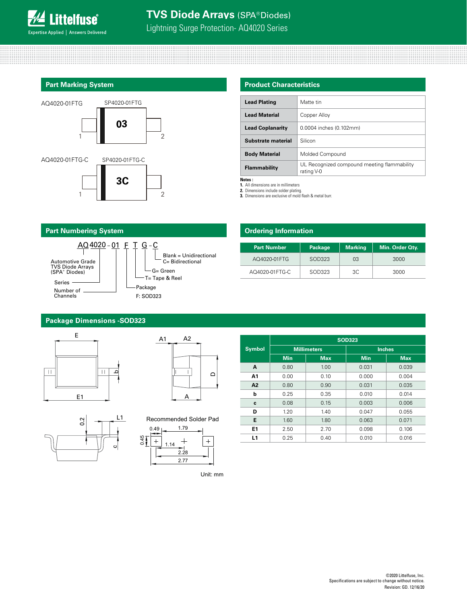

# **Part Marking System**



## **Product Characteristics**

| <b>Lead Plating</b>     | Matte tin                                                 |
|-------------------------|-----------------------------------------------------------|
| <b>Lead Material</b>    | Copper Alloy                                              |
| <b>Lead Coplanarity</b> | 0.0004 inches (0.102mm)                                   |
| Substrate material      | Silicon                                                   |
| <b>Body Material</b>    | Molded Compound                                           |
| Flammability            | UL Recognized compound meeting flammability<br>rating V-0 |

**Notes :**

**1.** All dimensions are in millimeters

**2.** Dimensions include solder plating. **3.** Dimensions are exclusive of mold flash & metal burr.



# **Ordering Information**

| <b>Part Number</b> | Package | <b>Marking</b> | Min. Order Qty. |
|--------------------|---------|----------------|-----------------|
| AO4020-01 FTG      | SOD323  | 03             | 3000            |
| AO4020-01 FTG-C    | SOD323  | 3C             | 3000            |

# **Package Dimensions -SOD323**







|      | Recommended Solder Pad |  |
|------|------------------------|--|
| 0.49 | 1.79                   |  |
|      | 1.14                   |  |

2.28

2.77

|                |                    |            | <b>SOD323</b> |            |  |  |  |
|----------------|--------------------|------------|---------------|------------|--|--|--|
| <b>Symbol</b>  | <b>Millimeters</b> |            | <b>Inches</b> |            |  |  |  |
|                | <b>Min</b>         | <b>Max</b> | <b>Min</b>    | <b>Max</b> |  |  |  |
| A              | 0.80               | 1.00       | 0.031         | 0.039      |  |  |  |
| A1             | 0.00               | 0.10       | 0.000         | 0.004      |  |  |  |
| A <sub>2</sub> | 0.80               | 0.90       | 0.031         | 0.035      |  |  |  |
| b              | 0.25               | 0.35       | 0.010         | 0.014      |  |  |  |
| c              | 0.08               | 0.15       | 0.003         | 0.006      |  |  |  |
| D              | 1.20               | 1.40       | 0.047         | 0.055      |  |  |  |
| E              | 1.60               | 1.80       | 0.063         | 0.071      |  |  |  |
| E1             | 2.50               | 2.70       | 0.098         | 0.106      |  |  |  |
| L1             | 0.25               | 0.40       | 0.010         | 0.016      |  |  |  |

Unit: mm